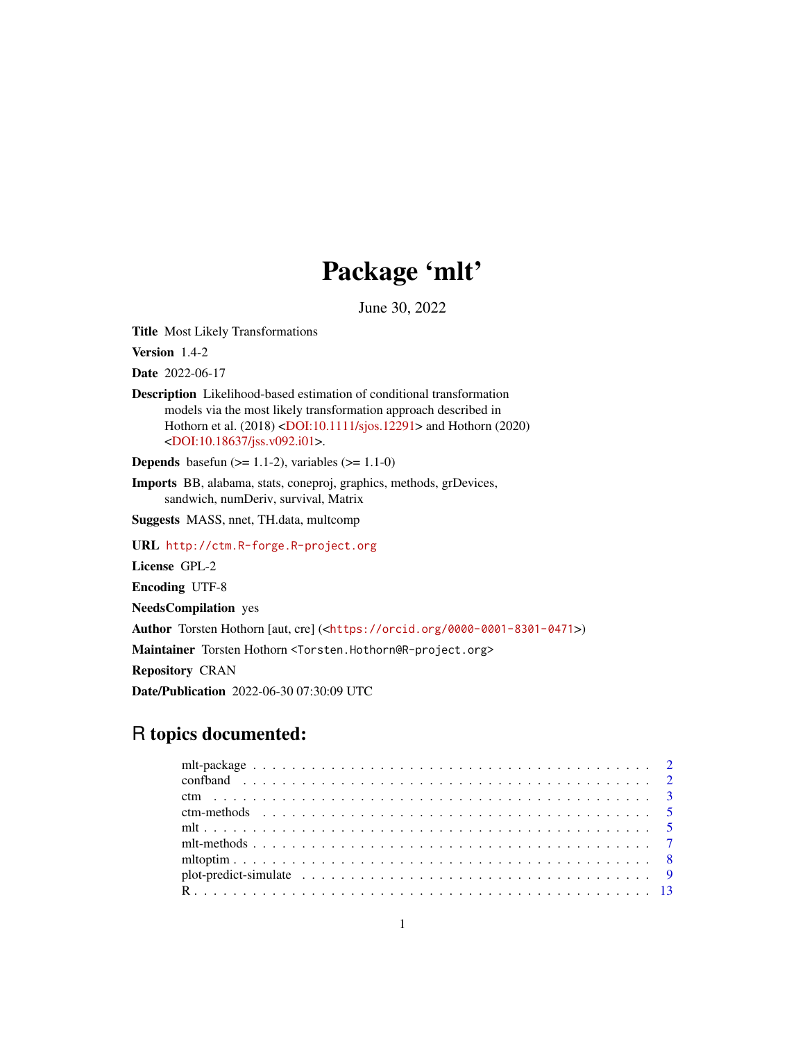## Package 'mlt'

June 30, 2022

<span id="page-0-0"></span>Title Most Likely Transformations

Version 1.4-2

Date 2022-06-17

Description Likelihood-based estimation of conditional transformation models via the most likely transformation approach described in Hothorn et al. (2018) [<DOI:10.1111/sjos.12291>](https://doi.org/10.1111/sjos.12291) and Hothorn (2020) [<DOI:10.18637/jss.v092.i01>](https://doi.org/10.18637/jss.v092.i01).

**Depends** basefun  $(>= 1.1-2)$ , variables  $(>= 1.1-0)$ 

Imports BB, alabama, stats, coneproj, graphics, methods, grDevices, sandwich, numDeriv, survival, Matrix

Suggests MASS, nnet, TH.data, multcomp

URL <http://ctm.R-forge.R-project.org>

License GPL-2

Encoding UTF-8

NeedsCompilation yes

Author Torsten Hothorn [aut, cre] (<<https://orcid.org/0000-0001-8301-0471>>)

Maintainer Torsten Hothorn <Torsten.Hothorn@R-project.org>

Repository CRAN

Date/Publication 2022-06-30 07:30:09 UTC

### R topics documented: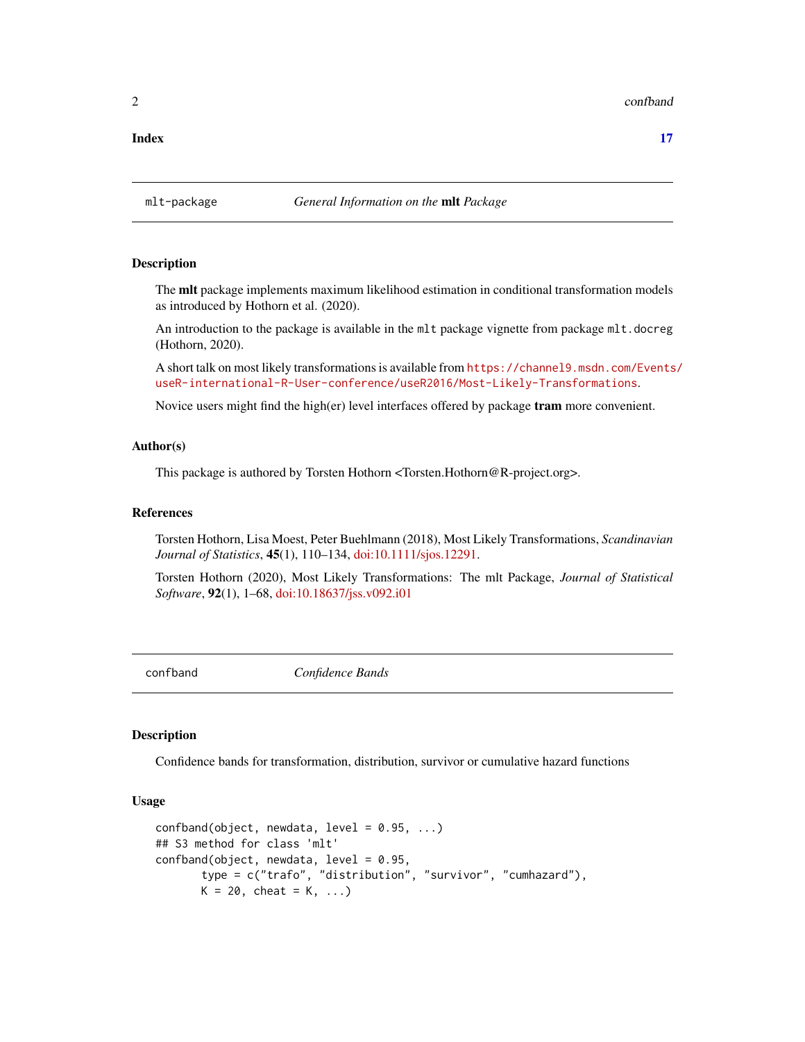#### <span id="page-1-0"></span>2 confband control of the control of the confband confband confband confband confband confband confband confband conf

#### **Index** [17](#page-16-0)

#### mlt-package *General Information on the* mlt *Package*

#### Description

The mlt package implements maximum likelihood estimation in conditional transformation models as introduced by Hothorn et al. (2020).

An introduction to the package is available in the mlt package vignette from package mlt.docreg (Hothorn, 2020).

A short talk on most likely transformations is available from [https://channel9.msdn.com/Events](https://channel9.msdn.com/Events/useR-international-R-User-conference/useR2016/Most-Likely-Transformations)/ [useR-international-R-User-conference/useR2016/Most-Likely-Transformations](https://channel9.msdn.com/Events/useR-international-R-User-conference/useR2016/Most-Likely-Transformations).

Novice users might find the high(er) level interfaces offered by package tram more convenient.

#### Author(s)

This package is authored by Torsten Hothorn <Torsten.Hothorn@R-project.org>.

#### References

Torsten Hothorn, Lisa Moest, Peter Buehlmann (2018), Most Likely Transformations, *Scandinavian Journal of Statistics*, 45(1), 110–134, [doi:10.1111/sjos.12291.](https://doi.org/10.1111/sjos.12291)

Torsten Hothorn (2020), Most Likely Transformations: The mlt Package, *Journal of Statistical Software*, 92(1), 1–68, [doi:10.18637/jss.v092.i01](https://doi.org/10.18637/jss.v092.i01)

confband *Confidence Bands*

#### Description

Confidence bands for transformation, distribution, survivor or cumulative hazard functions

```
confband(object, new data, level = 0.95, ...)## S3 method for class 'mlt'
confband(object, newdata, level = 0.95,
       type = c("trafo", "distribution", "survivor", "cumhazard"),
      K = 20, cheat = K, ...)
```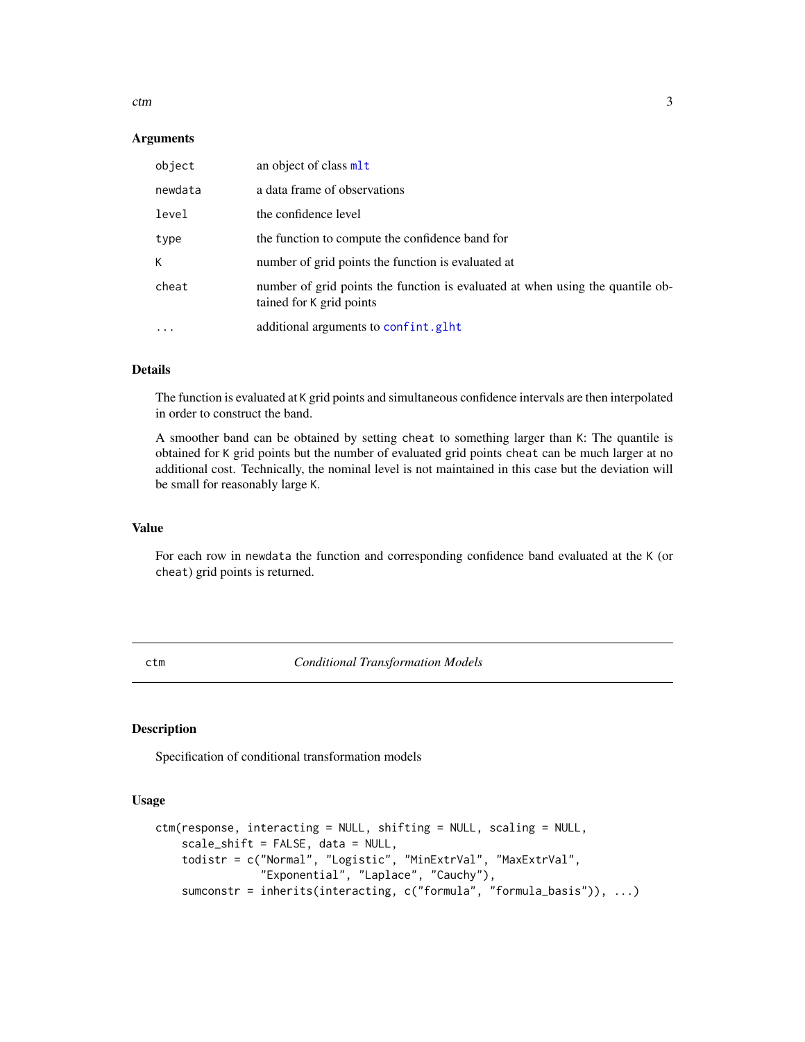#### <span id="page-2-0"></span>ctm 3

#### Arguments

| object  | an object of class mlt                                                                                     |
|---------|------------------------------------------------------------------------------------------------------------|
| newdata | a data frame of observations                                                                               |
| level   | the confidence level                                                                                       |
| type    | the function to compute the confidence band for                                                            |
| K.      | number of grid points the function is evaluated at                                                         |
| cheat   | number of grid points the function is evaluated at when using the quantile ob-<br>tained for K grid points |
| $\cdot$ | additional arguments to confint.glht                                                                       |
|         |                                                                                                            |

#### Details

The function is evaluated at K grid points and simultaneous confidence intervals are then interpolated in order to construct the band.

A smoother band can be obtained by setting cheat to something larger than K: The quantile is obtained for K grid points but the number of evaluated grid points cheat can be much larger at no additional cost. Technically, the nominal level is not maintained in this case but the deviation will be small for reasonably large K.

#### Value

For each row in newdata the function and corresponding confidence band evaluated at the K (or cheat) grid points is returned.

<span id="page-2-1"></span>ctm *Conditional Transformation Models*

#### Description

Specification of conditional transformation models

```
ctm(response, interacting = NULL, shifting = NULL, scaling = NULL,
   scale_shift = FALSE, data = NULL,
    todistr = c("Normal", "Logistic", "MinExtrVal", "MaxExtrVal",
                "Exponential", "Laplace", "Cauchy"),
    sumconstr = inherits(interacting, c("formula", "formula_basis")), ...)
```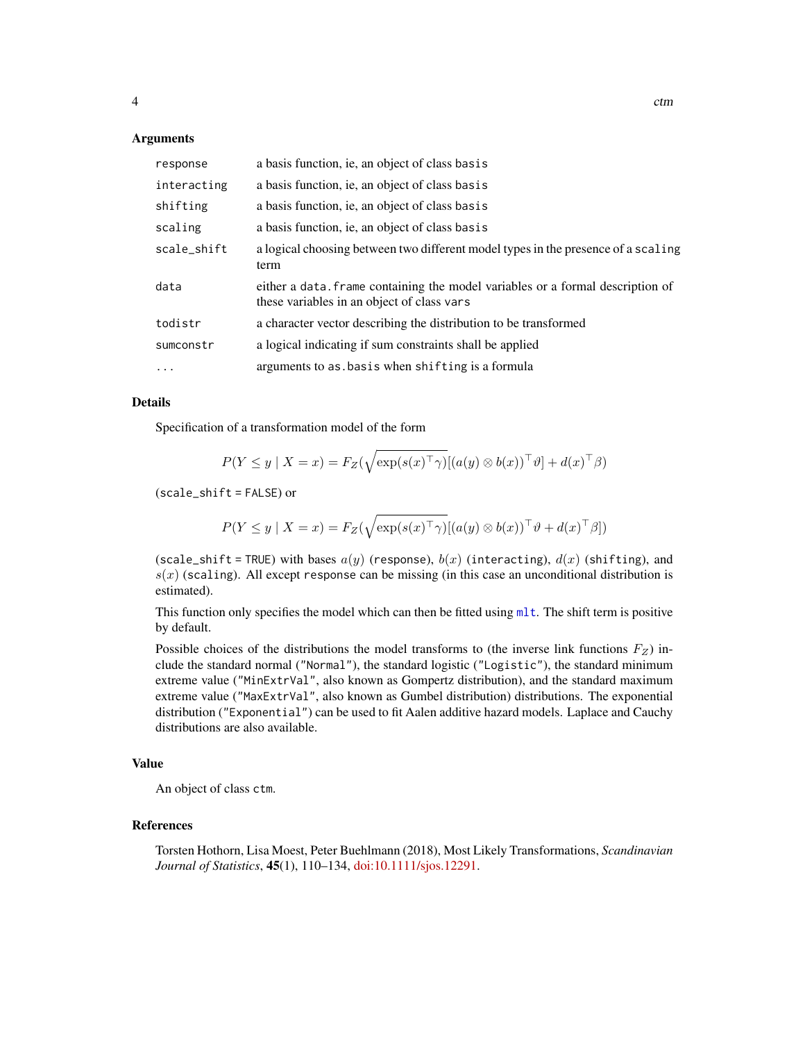#### <span id="page-3-0"></span>Arguments

| response    | a basis function, ie, an object of class basis                                                                               |
|-------------|------------------------------------------------------------------------------------------------------------------------------|
| interacting | a basis function, ie, an object of class basis                                                                               |
| shifting    | a basis function, ie, an object of class basis                                                                               |
| scaling     | a basis function, ie, an object of class basis                                                                               |
| scale_shift | a logical choosing between two different model types in the presence of a scaling<br>term                                    |
| data        | either a data, frame containing the model variables or a formal description of<br>these variables in an object of class vars |
| todistr     | a character vector describing the distribution to be transformed                                                             |
| sumconstr   | a logical indicating if sum constraints shall be applied                                                                     |
| $\cdot$     | arguments to as basis when shifting is a formula                                                                             |

#### Details

Specification of a transformation model of the form

$$
P(Y \le y \mid X = x) = F_Z(\sqrt{\exp(s(x)^{\top}\gamma)}[(a(y) \otimes b(x))^{\top}\vartheta] + d(x)^{\top}\beta)
$$

(scale\_shift = FALSE) or

$$
P(Y \le y \mid X = x) = F_Z(\sqrt{\exp(s(x)^{\top}\gamma)}[(a(y) \otimes b(x))^{\top}\vartheta + d(x)^{\top}\beta])
$$

(scale\_shift = TRUE) with bases  $a(y)$  (response),  $b(x)$  (interacting),  $d(x)$  (shifting), and  $s(x)$  (scaling). All except response can be missing (in this case an unconditional distribution is estimated).

This function only specifies the model which can then be fitted using  $mlt$ . The shift term is positive by default.

Possible choices of the distributions the model transforms to (the inverse link functions  $F_Z$ ) include the standard normal ("Normal"), the standard logistic ("Logistic"), the standard minimum extreme value ("MinExtrVal", also known as Gompertz distribution), and the standard maximum extreme value ("MaxExtrVal", also known as Gumbel distribution) distributions. The exponential distribution ("Exponential") can be used to fit Aalen additive hazard models. Laplace and Cauchy distributions are also available.

#### Value

An object of class ctm.

#### References

Torsten Hothorn, Lisa Moest, Peter Buehlmann (2018), Most Likely Transformations, *Scandinavian Journal of Statistics*, 45(1), 110–134, [doi:10.1111/sjos.12291.](https://doi.org/10.1111/sjos.12291)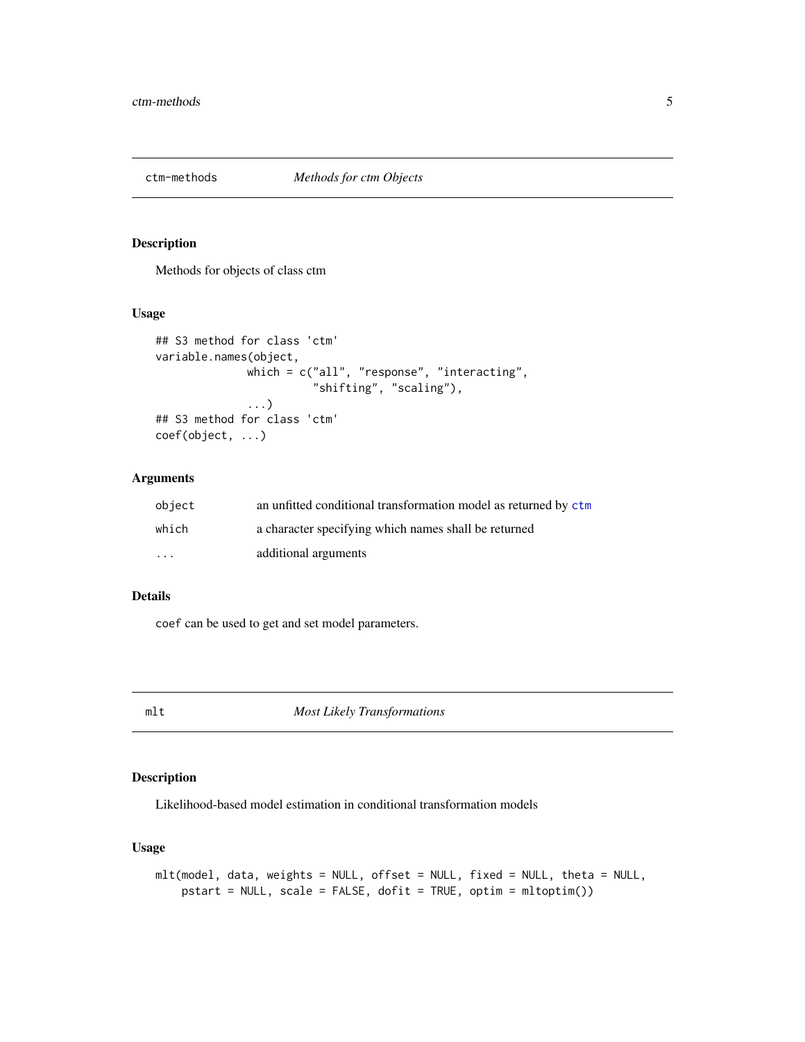<span id="page-4-0"></span>

#### Description

Methods for objects of class ctm

#### Usage

```
## S3 method for class 'ctm'
variable.names(object,
              which = c("all", "response", "interacting",
                        "shifting", "scaling"),
              ...)
## S3 method for class 'ctm'
coef(object, ...)
```
#### Arguments

| object                  | an unfitted conditional transformation model as returned by ctm |
|-------------------------|-----------------------------------------------------------------|
| which                   | a character specifying which names shall be returned            |
| $\cdot$ $\cdot$ $\cdot$ | additional arguments                                            |

### Details

coef can be used to get and set model parameters.

<span id="page-4-1"></span>

mlt *Most Likely Transformations*

#### Description

Likelihood-based model estimation in conditional transformation models

```
mlt(model, data, weights = NULL, offset = NULL, fixed = NULL, theta = NULL,
    pstart = NULL, scale = FALSE, dofit = TRUE, optim = mltoptim())
```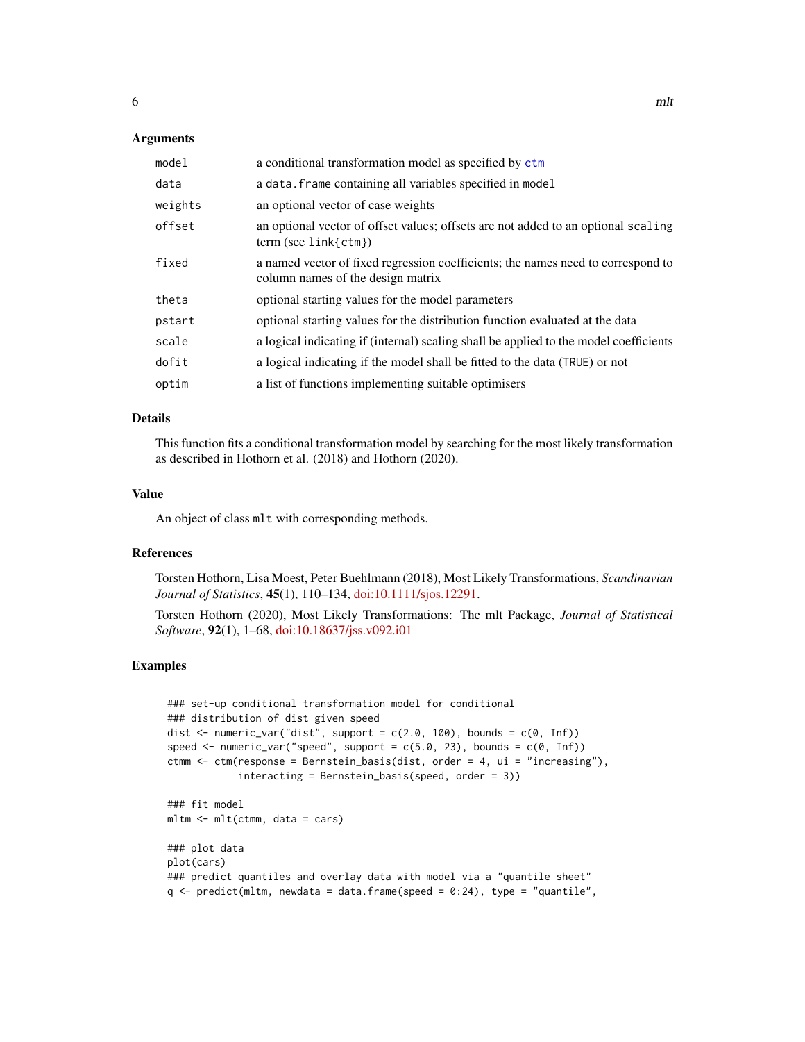#### <span id="page-5-0"></span>Arguments

| model   | a conditional transformation model as specified by ctm                                                                |
|---------|-----------------------------------------------------------------------------------------------------------------------|
| data    | a data. frame containing all variables specified in model                                                             |
| weights | an optional vector of case weights                                                                                    |
| offset  | an optional vector of offset values; offsets are not added to an optional scaling<br>$term (see link {ctm})$          |
| fixed   | a named vector of fixed regression coefficients; the names need to correspond to<br>column names of the design matrix |
| theta   | optional starting values for the model parameters                                                                     |
| pstart  | optional starting values for the distribution function evaluated at the data                                          |
| scale   | a logical indicating if (internal) scaling shall be applied to the model coefficients                                 |
| dofit   | a logical indicating if the model shall be fitted to the data (TRUE) or not                                           |
| optim   | a list of functions implementing suitable optimisers                                                                  |

#### Details

This function fits a conditional transformation model by searching for the most likely transformation as described in Hothorn et al. (2018) and Hothorn (2020).

#### Value

An object of class mlt with corresponding methods.

#### References

Torsten Hothorn, Lisa Moest, Peter Buehlmann (2018), Most Likely Transformations, *Scandinavian Journal of Statistics*, 45(1), 110–134, [doi:10.1111/sjos.12291.](https://doi.org/10.1111/sjos.12291)

Torsten Hothorn (2020), Most Likely Transformations: The mlt Package, *Journal of Statistical Software*, 92(1), 1–68, [doi:10.18637/jss.v092.i01](https://doi.org/10.18637/jss.v092.i01)

#### Examples

```
### set-up conditional transformation model for conditional
### distribution of dist given speed
dist <- numeric_var("dist", support = c(2.0, 100), bounds = c(0, Inf))
speed \le numeric_var("speed", support = c(5.0, 23), bounds = c(0, Inf))
ctmm <- ctm(response = Bernstein_basis(dist, order = 4, ui = "increasing"),
            interacting = Bernstein_basis(speed, order = 3))
### fit model
mltm <- mlt(ctmm, data = cars)
### plot data
plot(cars)
### predict quantiles and overlay data with model via a "quantile sheet"
q \leq predict(mltm, newdata = data.frame(speed = 0:24), type = "quantile",
```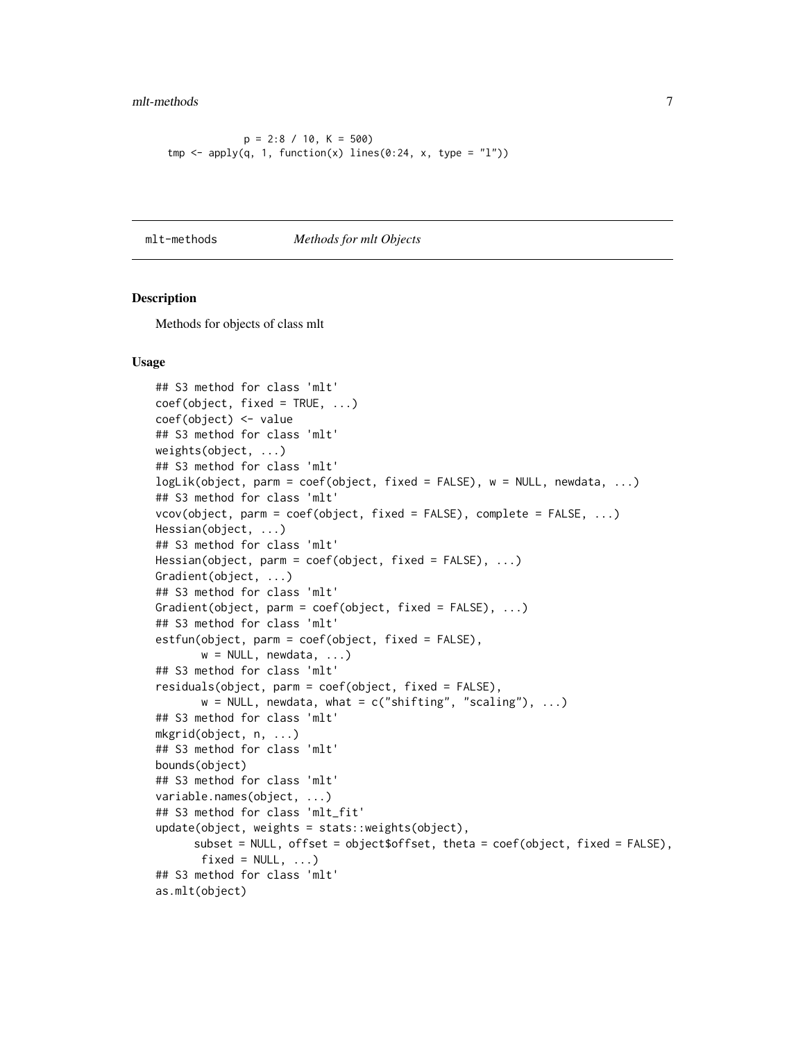<span id="page-6-0"></span>mlt-methods 7

```
p = 2:8 / 10, K = 500tmp \leftarrow apply(q, 1, function(x) lines(0:24, x, type = "l"))
```
mlt-methods *Methods for mlt Objects*

#### Description

Methods for objects of class mlt

```
## S3 method for class 'mlt'
coef(object, fixed = TRUE, ...)coef(object) <- value
## S3 method for class 'mlt'
weights(object, ...)
## S3 method for class 'mlt'
logLik(object, parm = coef(object, fixed = FALSE), w = NULL, newdata, ...)
## S3 method for class 'mlt'
vcov(object, parm = coef(object, fixed = FALSE), complete = FALSE, ...)
Hessian(object, ...)
## S3 method for class 'mlt'
Hessian(object, parm = coef(object, fixed = FALSE), ...)
Gradient(object, ...)
## S3 method for class 'mlt'
Gradient(object, parm = coef(object, fixed = FALSE), ...)
## S3 method for class 'mlt'
estfun(object, parm = coef(object, fixed = FALSE),
      w = NULL, newdata, ...)
## S3 method for class 'mlt'
residuals(object, parm = coef(object, fixed = FALSE),
       w = NULL, newdata, what = c("shifting", "scaling"), ...)
## S3 method for class 'mlt'
mkgrid(object, n, ...)
## S3 method for class 'mlt'
bounds(object)
## S3 method for class 'mlt'
variable.names(object, ...)
## S3 method for class 'mlt_fit'
update(object, weights = stats::weights(object),
     subset = NULL, offset = object$offset, theta = coef(object, fixed = FALSE),
       fixed = NULL, ...## S3 method for class 'mlt'
as.mlt(object)
```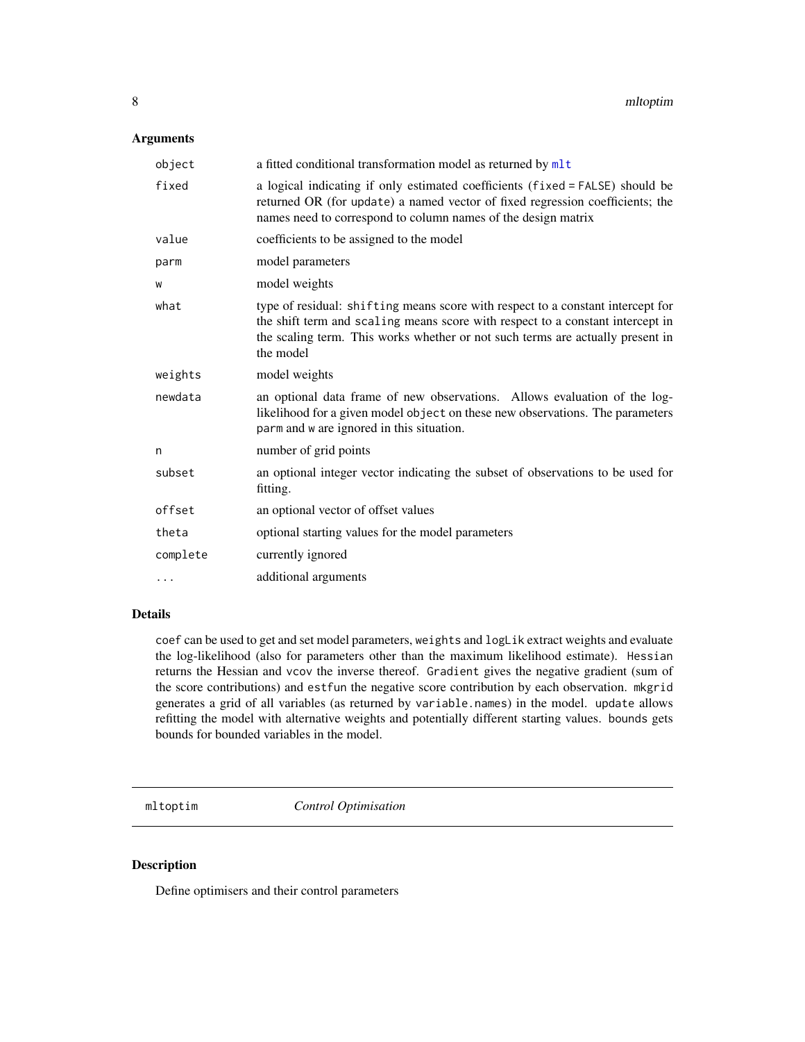#### <span id="page-7-0"></span>Arguments

| object   | a fitted conditional transformation model as returned by mlt                                                                                                                                                                                                     |
|----------|------------------------------------------------------------------------------------------------------------------------------------------------------------------------------------------------------------------------------------------------------------------|
| fixed    | a logical indicating if only estimated coefficients (fixed = FALSE) should be<br>returned OR (for update) a named vector of fixed regression coefficients; the<br>names need to correspond to column names of the design matrix                                  |
| value    | coefficients to be assigned to the model                                                                                                                                                                                                                         |
| parm     | model parameters                                                                                                                                                                                                                                                 |
| W        | model weights                                                                                                                                                                                                                                                    |
| what     | type of residual: shifting means score with respect to a constant intercept for<br>the shift term and scaling means score with respect to a constant intercept in<br>the scaling term. This works whether or not such terms are actually present in<br>the model |
| weights  | model weights                                                                                                                                                                                                                                                    |
| newdata  | an optional data frame of new observations. Allows evaluation of the log-<br>likelihood for a given model object on these new observations. The parameters<br>parm and w are ignored in this situation.                                                          |
| n        | number of grid points                                                                                                                                                                                                                                            |
| subset   | an optional integer vector indicating the subset of observations to be used for<br>fitting.                                                                                                                                                                      |
| offset   | an optional vector of offset values                                                                                                                                                                                                                              |
| theta    | optional starting values for the model parameters                                                                                                                                                                                                                |
| complete | currently ignored                                                                                                                                                                                                                                                |
| $\cdots$ | additional arguments                                                                                                                                                                                                                                             |

#### Details

coef can be used to get and set model parameters, weights and logLik extract weights and evaluate the log-likelihood (also for parameters other than the maximum likelihood estimate). Hessian returns the Hessian and vcov the inverse thereof. Gradient gives the negative gradient (sum of the score contributions) and estfun the negative score contribution by each observation. mkgrid generates a grid of all variables (as returned by variable.names) in the model. update allows refitting the model with alternative weights and potentially different starting values. bounds gets bounds for bounded variables in the model.

mltoptim *Control Optimisation*

#### Description

Define optimisers and their control parameters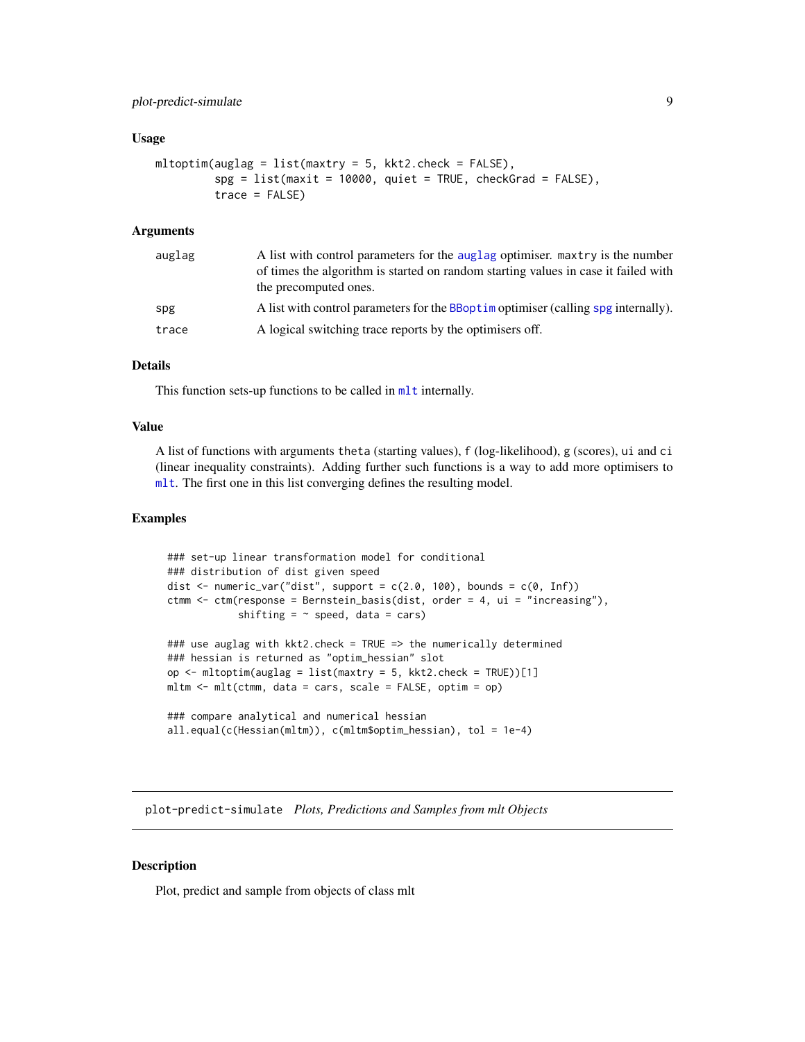#### <span id="page-8-0"></span>Usage

```
mltoptim(auglag = list(maxtry = 5, kkt2. check = FALSE),spg = list(maxit = 10000, quiet = TRUE, checkGrad = FALSE),trace = FALSE)
```
#### Arguments

| auglag | A list with control parameters for the auglag optimiser. maxtry is the number<br>of times the algorithm is started on random starting values in case it failed with<br>the precomputed ones. |
|--------|----------------------------------------------------------------------------------------------------------------------------------------------------------------------------------------------|
| spg    | A list with control parameters for the BBopt importance (calling spg internally).                                                                                                            |
| trace  | A logical switching trace reports by the optimisers off.                                                                                                                                     |

#### **Details**

This function sets-up functions to be called in  $mlt$  internally.

#### Value

A list of functions with arguments theta (starting values), f (log-likelihood), g (scores), ui and ci (linear inequality constraints). Adding further such functions is a way to add more optimisers to [mlt](#page-4-1). The first one in this list converging defines the resulting model.

#### Examples

```
### set-up linear transformation model for conditional
### distribution of dist given speed
dist \le numeric_var("dist", support = c(2.0, 100), bounds = c(0, Inf))
ctmm <- ctm(response = Bernstein_basis(dist, order = 4, ui = "increasing"),
            shifting = \sim speed, data = cars)
### use auglag with kkt2.check = TRUE => the numerically determined
### hessian is returned as "optim_hessian" slot
op \leq mltoptim(auglag = list(maxtry = 5, kkt2.check = TRUE))[1]
mltm <- mlt(ctmm, data = cars, scale = FALSE, optim = op)
### compare analytical and numerical hessian
all.equal(c(Hessian(mltm)), c(mltm$optim_hessian), tol = 1e-4)
```
plot-predict-simulate *Plots, Predictions and Samples from mlt Objects*

#### **Description**

Plot, predict and sample from objects of class mlt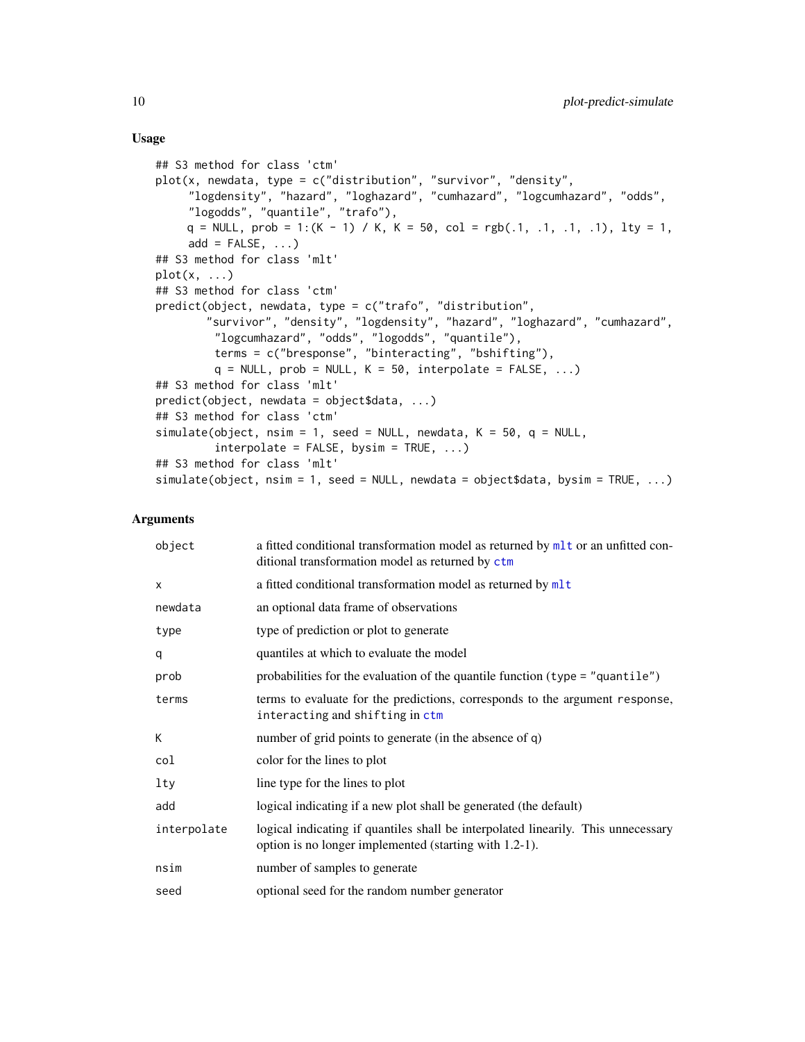#### Usage

```
## S3 method for class 'ctm'
plot(x, newdata, type = c("distribution", "survivor", "density",
     "logdensity", "hazard", "loghazard", "cumhazard", "logcumhazard", "odds",
     "logodds", "quantile", "trafo"),
     q = NULL, prob = 1:(K - 1) / K, K = 50, col = rgb(.1, .1, .1, .1), lty = 1,
     add = FALSE, ...)## S3 method for class 'mlt'
plot(x, \ldots)## S3 method for class 'ctm'
predict(object, newdata, type = c("trafo", "distribution",
        "survivor", "density", "logdensity", "hazard", "loghazard", "cumhazard",
         "logcumhazard", "odds", "logodds", "quantile"),
         terms = c("bresponse", "binteracting", "bshifting"),
         q = NULL, prob = NULL, K = 50, interpolate = FALSE, ...)
## S3 method for class 'mlt'
predict(object, newdata = object$data, ...)
## S3 method for class 'ctm'
simulate(object, nsim = 1, seed = NULL, newdata, K = 50, q = NULL,
         interpolate = FALSE, bysim = TRUE, ...## S3 method for class 'mlt'
simulate(object, nsim = 1, seed = NULL, newdata = object$data, bysim = TRUE, ...)
```
#### Arguments

| object      | a fitted conditional transformation model as returned by mlt or an unfitted con-<br>ditional transformation model as returned by ctm        |
|-------------|---------------------------------------------------------------------------------------------------------------------------------------------|
| X           | a fitted conditional transformation model as returned by mlt                                                                                |
| newdata     | an optional data frame of observations                                                                                                      |
| type        | type of prediction or plot to generate                                                                                                      |
| q           | quantiles at which to evaluate the model                                                                                                    |
| prob        | probabilities for the evaluation of the quantile function $(type = "quantile")$                                                             |
| terms       | terms to evaluate for the predictions, corresponds to the argument response,<br>interacting and shifting in ctm                             |
| K           | number of grid points to generate (in the absence of q)                                                                                     |
| col         | color for the lines to plot                                                                                                                 |
| lty         | line type for the lines to plot                                                                                                             |
| add         | logical indicating if a new plot shall be generated (the default)                                                                           |
| interpolate | logical indicating if quantiles shall be interpolated linearily. This unnecessary<br>option is no longer implemented (starting with 1.2-1). |
| nsim        | number of samples to generate                                                                                                               |
| seed        | optional seed for the random number generator                                                                                               |

<span id="page-9-0"></span>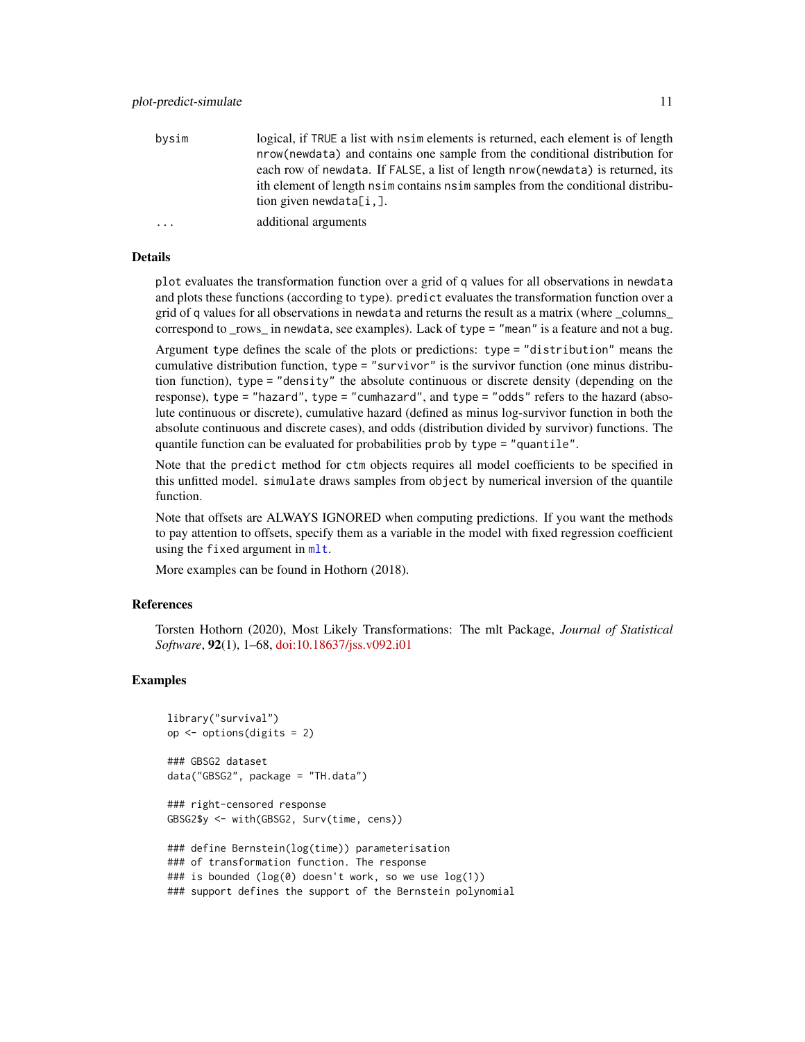<span id="page-10-0"></span>

| bysim     | logical, if TRUE a list with nsime lements is returned, each element is of length<br>nrow(newdata) and contains one sample from the conditional distribution for<br>each row of newdata. If FALSE, a list of length nrow (newdata) is returned, its<br>ith element of length nsim contains nsim samples from the conditional distribu-<br>tion given newdata $[i,].$ |
|-----------|----------------------------------------------------------------------------------------------------------------------------------------------------------------------------------------------------------------------------------------------------------------------------------------------------------------------------------------------------------------------|
| $\ddotsc$ | additional arguments                                                                                                                                                                                                                                                                                                                                                 |

#### Details

plot evaluates the transformation function over a grid of q values for all observations in newdata and plots these functions (according to type). predict evaluates the transformation function over a grid of q values for all observations in newdata and returns the result as a matrix (where \_columns\_ correspond to \_rows\_ in newdata, see examples). Lack of type = "mean" is a feature and not a bug.

Argument type defines the scale of the plots or predictions: type = "distribution" means the cumulative distribution function, type = "survivor" is the survivor function (one minus distribution function), type = "density" the absolute continuous or discrete density (depending on the response), type = "hazard", type = "cumhazard", and type = "odds" refers to the hazard (absolute continuous or discrete), cumulative hazard (defined as minus log-survivor function in both the absolute continuous and discrete cases), and odds (distribution divided by survivor) functions. The quantile function can be evaluated for probabilities prob by type = "quantile".

Note that the predict method for ctm objects requires all model coefficients to be specified in this unfitted model. simulate draws samples from object by numerical inversion of the quantile function.

Note that offsets are ALWAYS IGNORED when computing predictions. If you want the methods to pay attention to offsets, specify them as a variable in the model with fixed regression coefficient using the fixed argument in [mlt](#page-4-1).

More examples can be found in Hothorn (2018).

#### References

Torsten Hothorn (2020), Most Likely Transformations: The mlt Package, *Journal of Statistical Software*, 92(1), 1–68, [doi:10.18637/jss.v092.i01](https://doi.org/10.18637/jss.v092.i01)

#### Examples

```
library("survival")
op <- options(digits = 2)
### GBSG2 dataset
data("GBSG2", package = "TH.data")
### right-censored response
GBSG2$y <- with(GBSG2, Surv(time, cens))
### define Bernstein(log(time)) parameterisation
### of transformation function. The response
### is bounded (log(0) doesn't work, so we use log(1))
### support defines the support of the Bernstein polynomial
```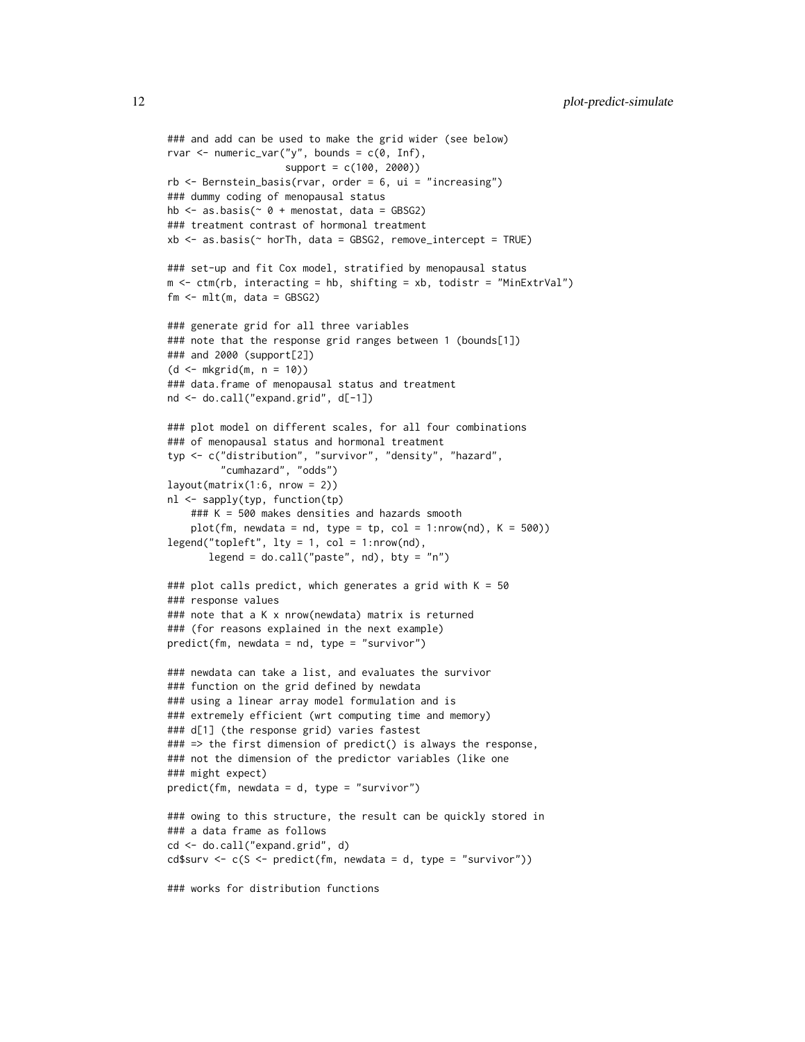```
### and add can be used to make the grid wider (see below)
rvar \leq numeric_var("y", bounds = c(\emptyset, Inf),
                    support = c(100, 2000))
rb <- Bernstein_basis(rvar, order = 6, ui = "increasing")
### dummy coding of menopausal status
hb \leq as.basis(\leq 0 + menostat, data = GBSG2)
### treatment contrast of hormonal treatment
xb \leq as.basis(\sim horTh, data = GBSG2, remove_interestive = TRUE)### set-up and fit Cox model, stratified by menopausal status
m \le ctm(rb, interacting = hb, shifting = xb, todistr = "MinExtrVal")
fm \leq mlt(m, data = GBSG2)### generate grid for all three variables
### note that the response grid ranges between 1 (bounds[1])
### and 2000 (support[2])
(d <- mkgrid(m, n = 10))
### data.frame of menopausal status and treatment
nd <- do.call("expand.grid", d[-1])
### plot model on different scales, for all four combinations
### of menopausal status and hormonal treatment
typ <- c("distribution", "survivor", "density", "hazard",
         "cumhazard", "odds")
layout(matrix(1:6, nrow = 2))
nl <- sapply(typ, function(tp)
    ### K = 500 makes densities and hazards smooth
    plot(fm, newdata = nd, type = tp, col = 1:nrow(nd), K = 500)legend("topleft", lty = 1, col = 1:nrow(nd),
      legend = do-call("paste", nd), bty = "n")### plot calls predict, which generates a grid with K = 50### response values
### note that a K x nrow(newdata) matrix is returned
### (for reasons explained in the next example)
predict(fm, newdata = nd, type = "survivor")
### newdata can take a list, and evaluates the survivor
### function on the grid defined by newdata
### using a linear array model formulation and is
### extremely efficient (wrt computing time and memory)
### d[1] (the response grid) varies fastest
### => the first dimension of predict() is always the response,
### not the dimension of the predictor variables (like one
### might expect)
predict(fm, newdata = d, type = "survivor")### owing to this structure, the result can be quickly stored in
### a data frame as follows
cd <- do.call("expand.grid", d)
cd$surv < -c(S < - predict(fm, newdata = d, type = "survivor"))### works for distribution functions
```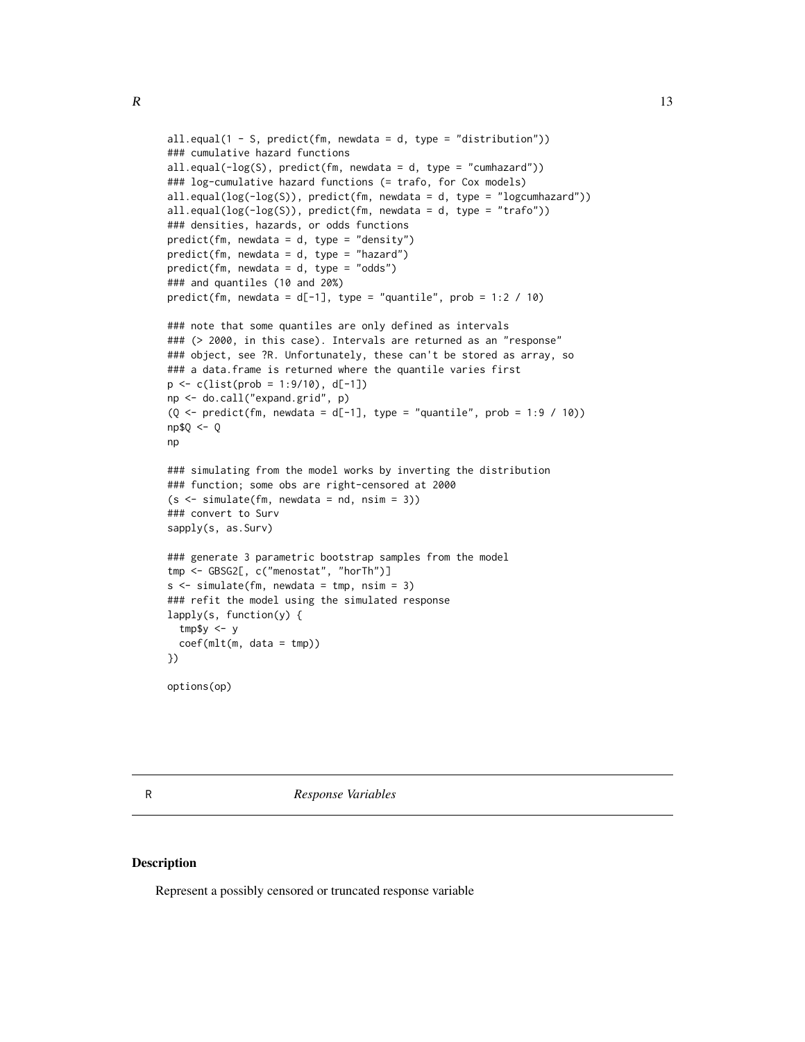```
all.equal(1 - S, predict(fm, newdata = d, type = "distribution"))
### cumulative hazard functions
all.equal(-log(S), predict(fm, newdata = d, type = "cumhazard"))
### log-cumulative hazard functions (= trafo, for Cox models)
all.equal(log(-log(S)), predict(fm, newdata = d, type = "logcumhazard"))
all.equal(log(-log(S)), predict(fm, newdata = d, type = "trafo"))
### densities, hazards, or odds functions
predict(fm, newdata = d, type = "density")
predict(fm, newdata = d, type = "hazard")
predict(fm, newdata = d, type = "odds")
### and quantiles (10 and 20%)
predict(fm, newdata = d[-1], type = "quantile", prob = 1:2 / 10)
### note that some quantiles are only defined as intervals
### (> 2000, in this case). Intervals are returned as an "response"
### object, see ?R. Unfortunately, these can't be stored as array, so
### a data.frame is returned where the quantile varies first
p \leftarrow c(list(prob = 1:9/10), d[-1])np <- do.call("expand.grid", p)
(Q \le predict(fm, newdata = d[-1], type = "quantile", prob = 1:9 / 10))
np$Q < -Qnp
### simulating from the model works by inverting the distribution
### function; some obs are right-censored at 2000
(s \leq s \in simulate(fm, newdata = nd, nsim = 3))
### convert to Surv
sapply(s, as.Surv)
### generate 3 parametric bootstrap samples from the model
tmp <- GBSG2[, c("menostat", "horTh")]
s \leq - \sin(1) s imulate(fm, newdata = tmp, nsim = 3)
### refit the model using the simulated response
lapply(s, function(y) {
  tmp\y <- y
  coef(mlt(m, data = tmp))
})
options(op)
```
R *Response Variables*

#### Description

Represent a possibly censored or truncated response variable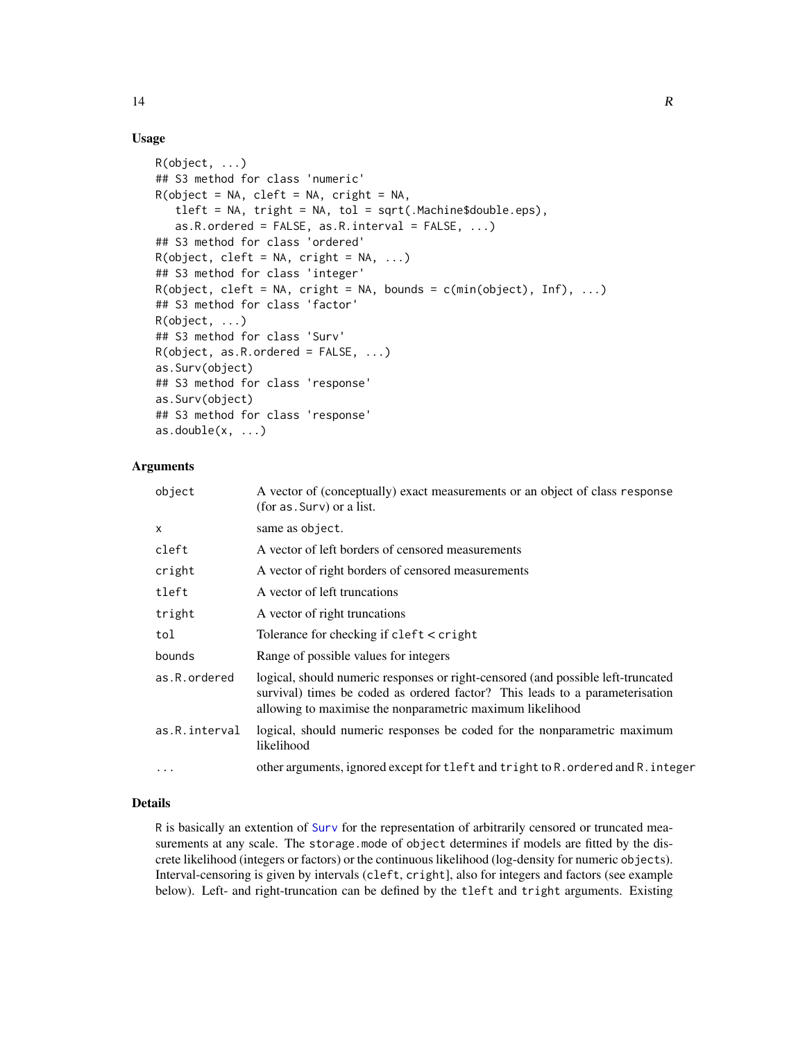#### Usage

```
R(object, ...)
## S3 method for class 'numeric'
R(object = NA, cleft = NA, cright = NA,
   tleft = NA, tright = NA, tol = sqrt(.Machine$double.eps),
   as.R.ordered = FALSE, as.R.interval = FALSE, \ldots)
## S3 method for class 'ordered'
R(object, cleft = NA, criight = NA, ...)## S3 method for class 'integer'
R(object, cleft = NA, criight = NA, bounds = c(min(object), Inf), ...## S3 method for class 'factor'
R(object, ...)
## S3 method for class 'Surv'
R(object, as.R.ordered = FALSE, ...)as.Surv(object)
## S3 method for class 'response'
as.Surv(object)
## S3 method for class 'response'
as.double(x, \ldots)
```
#### Arguments

| object        | A vector of (conceptually) exact measurements or an object of class response<br>(for as. Surv) or a list.                                                                                                                     |
|---------------|-------------------------------------------------------------------------------------------------------------------------------------------------------------------------------------------------------------------------------|
| X             | same as object.                                                                                                                                                                                                               |
| cleft         | A vector of left borders of censored measurements                                                                                                                                                                             |
| cright        | A vector of right borders of censored measurements                                                                                                                                                                            |
| tleft         | A vector of left truncations                                                                                                                                                                                                  |
| tright        | A vector of right truncations                                                                                                                                                                                                 |
| tol           | Tolerance for checking if $cleft <$ cright                                                                                                                                                                                    |
| bounds        | Range of possible values for integers                                                                                                                                                                                         |
| as.R.ordered  | logical, should numeric responses or right-censored (and possible left-truncated<br>survival) times be coded as ordered factor? This leads to a parameterisation<br>allowing to maximise the nonparametric maximum likelihood |
| as.R.interval | logical, should numeric responses be coded for the nonparametric maximum<br>likelihood                                                                                                                                        |
| .             | other arguments, ignored except for tleft and tright to R. ordered and R. integer                                                                                                                                             |

#### Details

R is basically an extention of [Surv](#page-0-0) for the representation of arbitrarily censored or truncated measurements at any scale. The storage.mode of object determines if models are fitted by the discrete likelihood (integers or factors) or the continuous likelihood (log-density for numeric objects). Interval-censoring is given by intervals (cleft, cright], also for integers and factors (see example below). Left- and right-truncation can be defined by the tleft and tright arguments. Existing

<span id="page-13-0"></span>14 R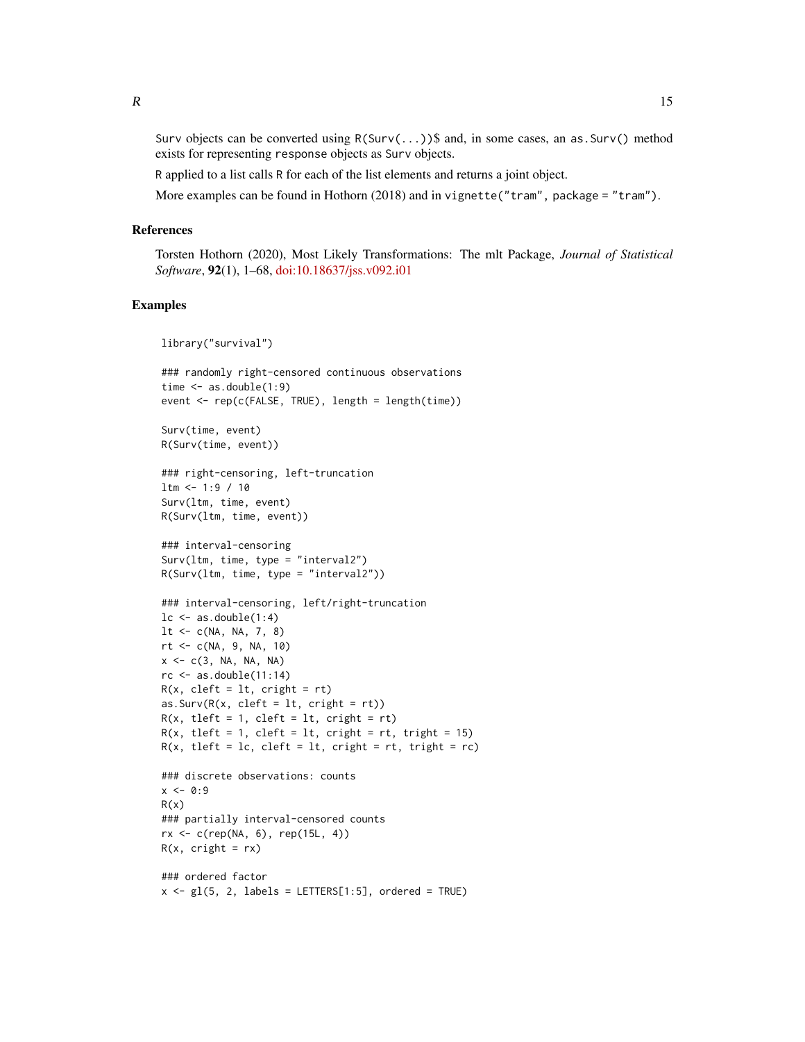Surv objects can be converted using  $R(Surv(...))\$  and, in some cases, an as. Surv() method exists for representing response objects as Surv objects.

R applied to a list calls R for each of the list elements and returns a joint object.

More examples can be found in Hothorn (2018) and in vignette("tram", package = "tram").

#### References

Torsten Hothorn (2020), Most Likely Transformations: The mlt Package, *Journal of Statistical Software*, 92(1), 1–68, [doi:10.18637/jss.v092.i01](https://doi.org/10.18637/jss.v092.i01)

#### Examples

```
library("survival")
```

```
### randomly right-censored continuous observations
time \leq as.double(1:9)
event <- rep(c(FALSE, TRUE), length = length(time))
```

```
Surv(time, event)
R(Surv(time, event))
```

```
### right-censoring, left-truncation
ltm <- 1:9 / 10
Surv(ltm, time, event)
R(Surv(ltm, time, event))
```

```
### interval-censoring
Surv(ltm, time, type = "interval2")
R(Surv(ltm, time, type = "interval2"))
```

```
### interval-censoring, left/right-truncation
lc \leftarrow as.double(1:4)lt < -c(NA, NA, 7, 8)rt <- c(NA, 9, NA, 10)
x \leq -c(3, NA, NA, NA)rc \leftarrow as.double(11:14)R(x, \text{ cleft} = 1t, \text{ cright} = rt)as.Surv(R(x, cleft = lt, cright = rt))R(x, tleft = 1, cleft = 1t, criight = rt)R(x, tleft = 1, cleft = 1t, cright = rt, tright = 15)R(x, tleft = lc, cleft = lt, cright = rt, tright = rc)
```

```
### discrete observations: counts
x < -0.9R(x)### partially interval-censored counts
rx < -c(rep(NA, 6), rep(15L, 4))R(x, crit) = rx)
```

```
### ordered factor
x \leq g1(5, 2, labels = LETTERS[1:5], ordered = TRUE)
```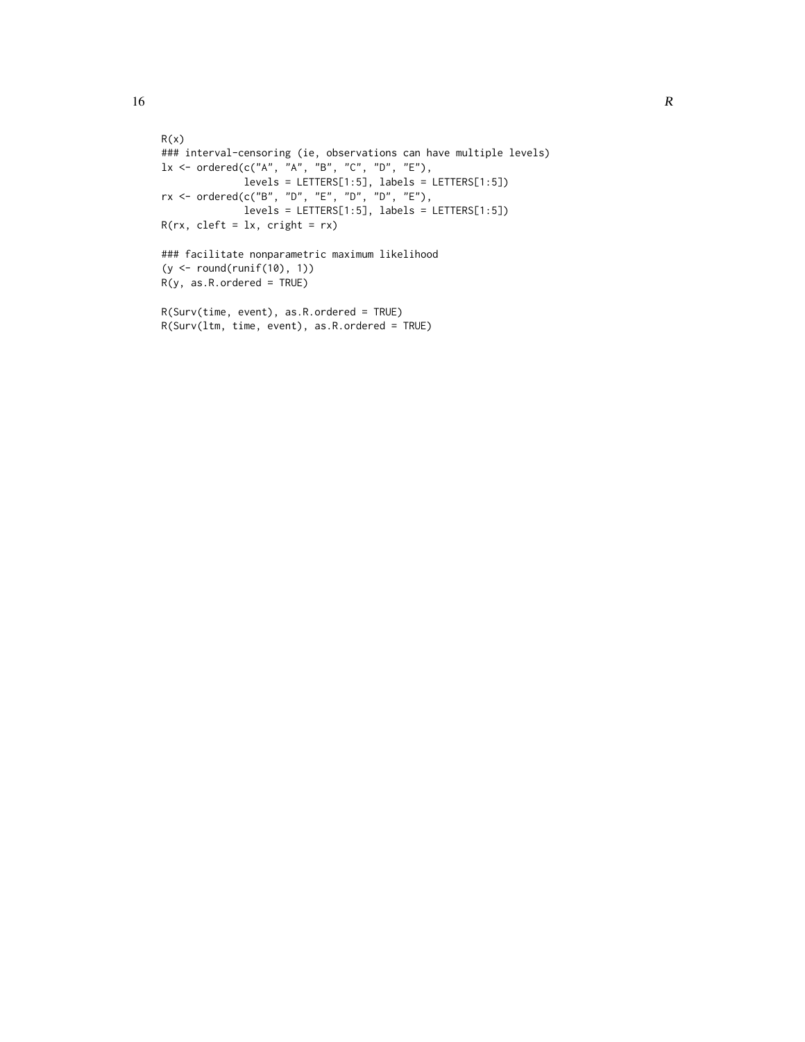```
R(x)### interval-censoring (ie, observations can have multiple levels)
lx <- ordered(c("A", "A", "B", "C", "D", "E"),
             levels = LETTERS[1:5], labels = LETTERS[1:5])
rx <- ordered(c("B", "D", "E", "D", "D", "E"),
             levels = LETTERS[1:5], labels = LETTERS[1:5])
R(rx, cleft = 1x, cright = rx)### facilitate nonparametric maximum likelihood
(y <- round(runif(10), 1))
R(y, as.R.ordered = TRUE)
```
R(Surv(time, event), as.R.ordered = TRUE) R(Surv(ltm, time, event), as.R.ordered = TRUE)